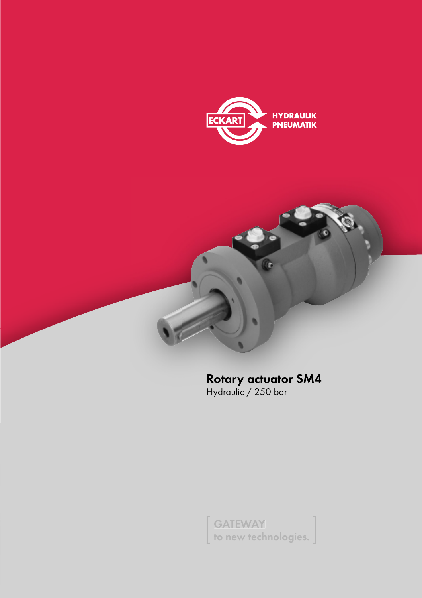



Rotary actuator SM4<br>Hydraulic / 250 bar

to new tech to new technologies.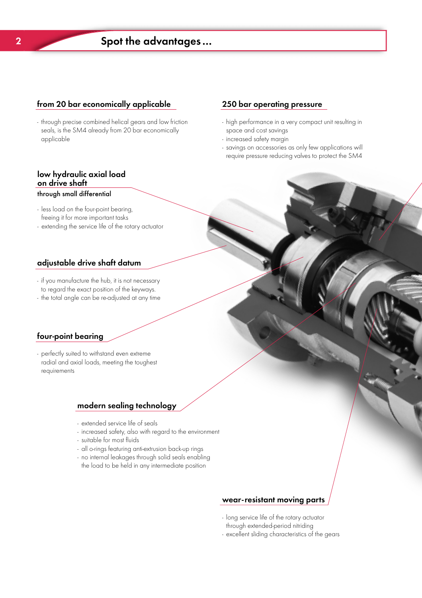## from 20 bar economically applicable

- through precise combined helical gears and low friction seals, is the SM4 already from 20 bar economically applicable

## 250 bar operating pressure

- high performance in a very compact unit resulting in space and cost savings

Schwenkmotor PSM

- increased safety margin
- savings on accessories as only few applications will require pressure reducing valves to protect the SM4

# low hydraulic axial load

## through small differential

- less load on the four-point bearing, freeing it for more important tasks
- extending the service life of the rotary actuator

## adjustable drive shaft datum

- if you manufacture the hub, it is not necessary to regard the exact position of the keyways.
- the total angle can be re-adjusted at any time

## four-point bearing

- perfectly suited to withstand even extreme radial and axial loads, meeting the toughest requirements

## modern sealing technology

- extended service life of seals
- increased safety, also with regard to the environment
- suitable for most fluids
- all o-rings featuring anti-extrusion back-up rings
- no internal leakages through solid seals enabling
- the load to be held in any intermediate position

## wear-resistant moving parts

- long service life of the rotary actuator through extended-period nitriding
- excellent sliding characteristics of the gears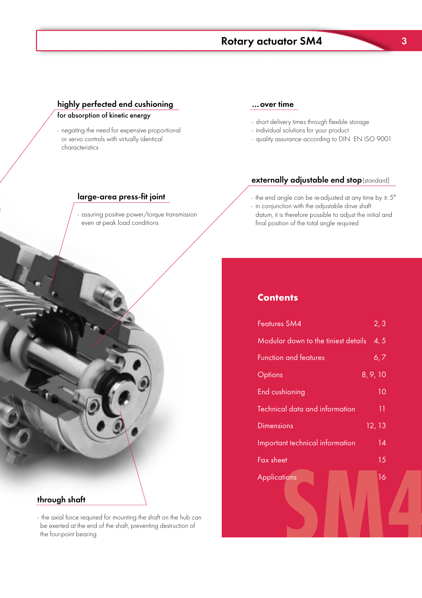# $\frac{1}{\sqrt{2}}$  Schweizer SM4  $\frac{1}{\sqrt{2}}$  actuation  $\frac{1}{\sqrt{2}}$

## <u>of the custom controller controller than the custom of kinetic energy</u>

- negating the need for expensive proportional or servo controls with virtually identical characteristics

## …over time

- short delivery times through flexible storage
- individual solutions for your product
- quality assurance according to DIN EN ISO 9001

## externally adjustable end stop(standard)

- the end angle can be re-adjusted at any time by  $\pm 5^{\circ}$ - in conjunction with the adjustable drive shaft
- datum, it is therefore possible to adjust the initial and final position of the total angle required

## **Contents**

| Features SM4                        | 2, 3            |
|-------------------------------------|-----------------|
| Modular down to the tiniest details | 4, 5            |
| <b>Function and features</b>        | 6, 7            |
| Options                             | 8, 9, 10        |
| End cushioning                      | 10              |
| Technical data and information      | 11              |
| <b>Dimensions</b>                   | 12, 13          |
| Important technical information     | $\overline{14}$ |
| Fax sheet                           | 15              |
| <b>Applications</b>                 | 16              |
|                                     |                 |

## - assuring positive power/torque transmission

large-area press-fit joint

even at peak load conditions

## through shaft

- the axial force required for mounting the shaft on the hub can be exerted at the end of the shaft, preventing destruction of the four-point bearing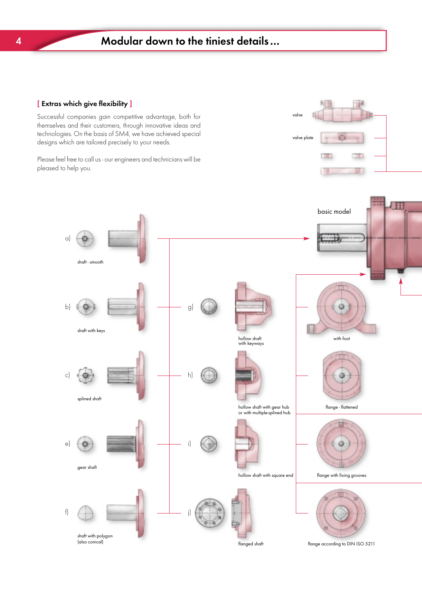## [ Extras which give flexibility ]

Successful companies gain competitive advantage, both for themselves and their customers, through innovative ideas and technologies. On the basis of SM4, we have achieved special designs which are tailored precisely to your needs.

Please feel free to call us - our engineers and technicians will be pleased to help you.



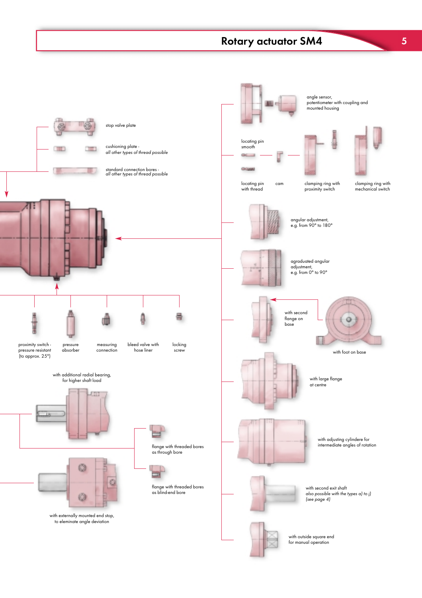# $\frac{1}{\sqrt{2}}$  Schweizer SM4  $\frac{1}{\sqrt{2}}$  actuation  $\frac{1}{\sqrt{2}}$

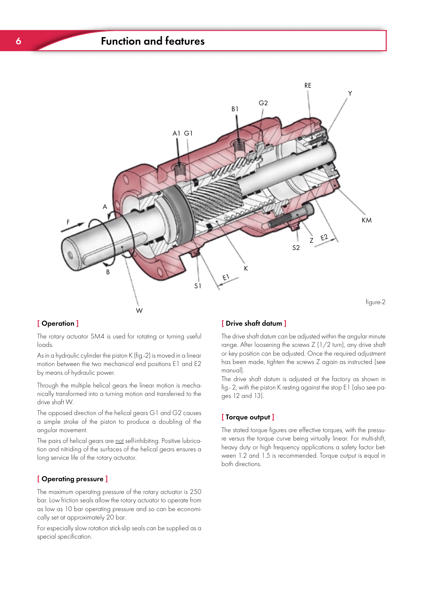# 6 Function and features Schwenkmotor PSM



## [ Operation ]

The rotary actuator SM4 is used for rotating or turning useful loads.

As in a hydraulic cylinder the piston K (fig.-2) is moved in a linear motion between the two mechanical end positions E1 and E2 by means of hydraulic power.

Through the multiple helical gears the linear motion is mechanically transformed into a turning motion and transferred to the drive shaft W.

The opposed direction of the helical gears G1 and G2 causes a simple stroke of the piston to produce a doubling of the angular movement.

The pairs of helical gears are not self-inhibiting. Positive lubrication and nitriding of the surfaces of the helical gears ensures a long service life of the rotary actuator.

## [ Operating pressure ]

The maximum operating pressure of the rotary actuator is 250 bar. Low friction seals allow the rotary actuator to operate from as low as 10 bar operating pressure and so can be economically set at approximately 20 bar.

For especially slow rotation stick-slip seals can be supplied as a special specification.

## [ Drive shaft datum ]

The drive shaft datum can be adjusted within the angular minute range. After loosening the screws Z (1/2 turn), any drive shaft or key position can be adjusted. Once the required adjustment has been made, tighten the screws Z again as instructed (see manual).

The drive shaft datum is adjusted at the factory as shown in fig.- 2, with the piston K resting against the stop E1 (also see pages 12 and 13).

## [ Torque output ]

The stated torque figures are effective torques, with the pressure versus the torque curve being virtually linear. For multi-shift, heavy duty or high frequency applications a safety factor between 1.2 and 1.5 is recommended. Torque output is equal in both directions.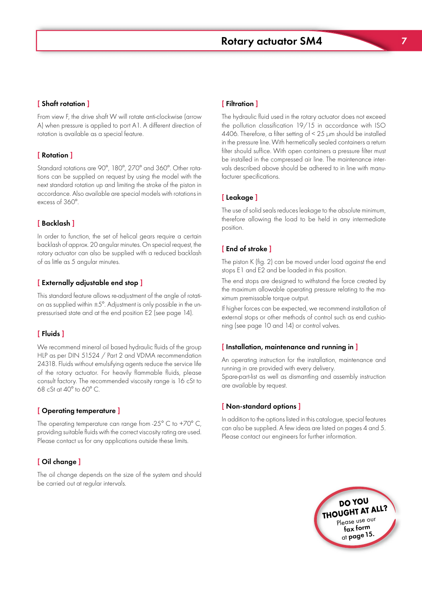

From view F, the drive shaft W will rotate anti-clockwise (arrow A) when pressure is applied to port A1. A different direction of rotation is available as a special feature.

## [ Rotation ]

Standard rotations are 90°, 180°, 270° and 360°. Other rotations can be supplied on request by using the model with the next standard rotation up and limiting the stroke of the piston in accordance. Also available are special models with rotations in excess of 360°.

## [ Backlash ]

In order to function, the set of helical gears require a certain backlash of approx. 20 angular minutes. On special request, the rotary actuator can also be supplied with a reduced backlash of as little as 5 angular minutes.

## [ Externally adjustable end stop ]

This standard feature allows re-adjustment of the angle of rotation as supplied within  $\pm 5^{\circ}$ . Adjustment is only possible in the unpressurised state and at the end position E2 (see page 14).

## [ Fluids ]

We recommend mineral oil based hydraulic fluids of the group HLP as per DIN 51524 / Part 2 and VDMA recommendation 24318. Fluids without emulsifying agents reduce the service life of the rotary actuator. For heavily flammable fluids, please consult factory. The recommended viscosity range is 16 cSt to 68 cSt at  $40^{\circ}$  to 60 $^{\circ}$  C.

## [ Operating temperature ]

The operating temperature can range from -25 $^{\circ}$  C to +70 $^{\circ}$  C, providing suitable fluids with the correct viscosity rating are used. Please contact us for any applications outside these limits.

## [ Oil change ]

The oil change depends on the size of the system and should be carried out at regular intervals.

## [ Filtration ]

The hydraulic fluid used in the rotary actuator does not exceed the pollution classification 19/15 in accordance with ISO 4406. Therefore, a filter setting of < 25 µm should be installed in the pressure line. With hermetically sealed containers a return filter should suffice. With open containers a pressure filter must be installed in the compressed air line. The maintenance intervals described above should be adhered to in line with manufacturer specifications.

#### [ Leakage ]

The use of solid seals reduces leakage to the absolute minimum, therefore allowing the load to be held in any intermediate position.

## [ End of stroke ]

The piston K (fig. 2) can be moved under load against the end stops E1 and E2 and be loaded in this position.

The end stops are designed to withstand the force created by the maximum allowable operating pressure relating to the maximum premissable torque output.

If higher forces can be expected, we recommend installation of external stops or other methods of control such as end cushioning (see page 10 and 14) or control valves.

## $\mathbf{I}$  installation, maintenance and running in  $\mathbf{I}$

An operating instruction for the installation, maintenance and running in are provided with every delivery.

Spare-part-list as well as dismantling and assembly instruction are available by request.

#### [ Non-standard options ]

In addition to the options listed in this catalogue, special features can also be supplied. A few ideas are listed on pages 4 and 5. Please contact our engineers for further information.

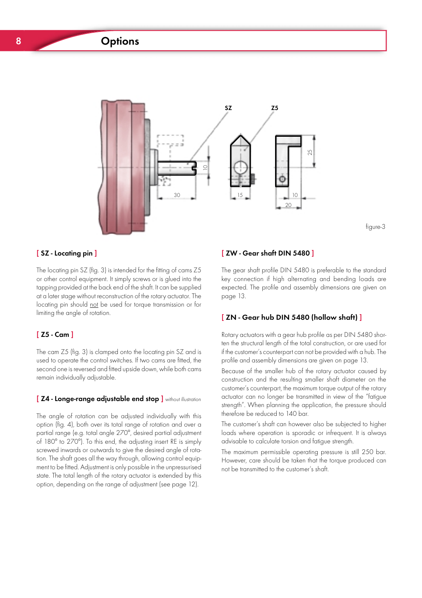# $\overline{\mathcal{S}}$  options  $\overline{\mathcal{S}}$  options  $\overline{\mathcal{S}}$



## $\mathbf{S}$  - Locating pin  $\mathbf{S}$

The locating pin SZ (fig. 3) is intended for the fitting of cams Z5 or other control equipment. It simply screws or is glued into the tapping provided at the back end of the shaft. It can be supplied at a later stage without reconstruction of the rotary actuator. The locating pin should not be used for torque transmission or for limiting the angle of rotation.

#### [ Z5 - Cam ]

The cam Z5 (fig. 3) is clamped onto the locating pin SZ and is used to operate the control switches. If two cams are fitted, the second one is reversed and fitted upside down, while both cams remain individually adjustable.

#### [ Z4 - Longe-range adjustable end stop ] without illustration

The angle of rotation can be adjusted individually with this option (fig. 4), both over its total range of rotation and over a partial range (e.g. total angle 270°, desired partial adjustment of 180° to 270°). To this end, the adjusting insert RE is simply screwed inwards or outwards to give the desired angle of rotation. The shaft goes all the way through, allowing control equipment to be fitted. Adjustment is only possible in the unpressurised state. The total length of the rotary actuator is extended by this option, depending on the range of adjustment (see page 12).

## [ ZW - Gear shaft DIN 5480 ]

The gear shaft profile DIN 5480 is preferable to the standard key connection if high alternating and bending loads are expected. The profile and assembly dimensions are given on page 13.

figure-3

#### [ ZN - Gear hub DIN 5480 (hollow shaft) ]

Rotary actuators with a gear hub profile as per DIN 5480 shorten the structural length of the total construction, or are used for if the customer's counterpart can not be provided with a hub. The profile and assembly dimensions are given on page 13.

Because of the smaller hub of the rotary actuator caused by construction and the resulting smaller shaft diameter on the customer's counterpart, the maximum torque output of the rotary actuator can no longer be transmitted in view of the "fatigue strength". When planning the application, the pressure should therefore be reduced to 140 bar.

The customer's shaft can however also be subjected to higher loads where operation is sporadic or infrequent. It is always advisable to calculate torsion and fatigue strength.

The maximum permissible operating pressure is still 250 bar. However, care should be taken that the torque produced can not be transmitted to the customer's shaft.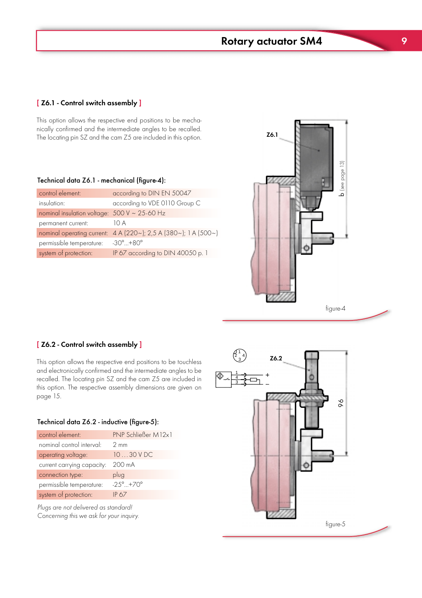# $\mathcal{S}(\mathcal{S})$  and  $\mathcal{S}(\mathcal{S})$  actuation  $\mathcal{S}(\mathcal{S})$  . The same  $\mathcal{S}(\mathcal{S})$

## [Z6.1 - Control switch assembly ]

This option allows the respective end positions to be mechanically confirmed and the intermediate angles to be recalled. The locating pin SZ and the cam Z5 are included in this option.

## Technical data Z6.1 - mechanical (figure-4):

| control element:                                                         | according to DIN EN 50047            |
|--------------------------------------------------------------------------|--------------------------------------|
| insulation:                                                              | according to VDE 0110 Group C        |
| nominal insulation voltage: $500 \text{ V} \sim 25\text{-}60 \text{ Hz}$ |                                      |
| permanent current:                                                       | 10 A                                 |
| nominal operating current:                                               | 4 A (220~); 2,5 A (380~); 1 A (500~) |
| permissible temperature:                                                 | $-30^{\circ}$ $+80^{\circ}$          |
| system of protection:                                                    | IP 67 according to DIN 40050 p. 1    |



#### [Z6.2 - Control switch assembly ]

This option allows the respective end positions to be touchless and electronically confirmed and the intermediate angles to be recalled. The locating pin SZ and the cam Z5 are included in this option. The respective assembly dimensions are given on page 15.

#### Technical data Z6.2 - inductive (figure-5):

| control element:           | PNP Schließer M12x1          |
|----------------------------|------------------------------|
| nominal control interval:  | $2 \text{ mm}$               |
| operating voltage:         | $1030$ V DC                  |
| current carrying capacity: | 200 mA                       |
| connection type:           | plug                         |
| permissible temperature:   | $-25^{\circ}$ +70 $^{\circ}$ |
| system of protection:      | IP 67                        |

Plugs are not delivered as standard! Concerning this we ask for your inquiry.

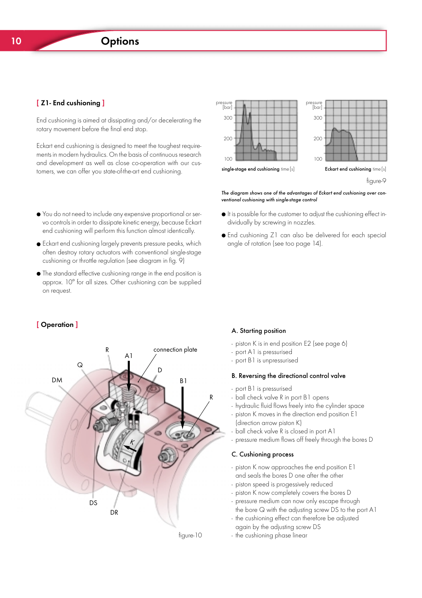## [ Z1- End cushioning ]

End cushioning is aimed at dissipating and/or decelerating the rotary movement before the final end stop.

Eckart end cushioning is designed to meet the toughest requirements in modern hydraulics. On the basis of continuous research and development as well as close co-operation with our customers, we can offer you state-of-the-art end cushioning.

- You do not need to include any expensive proportional or servo controls in order to dissipate kinetic energy, because Eckart end cushioning will perform this function almost identically.
- Eckart end cushioning largely prevents pressure peaks, which often destroy rotary actuators with conventional single-stage cushioning or throttle regulation (see diagram in fig. 9)
- The standard effective cushioning range in the end position is approx. 10° for all sizes. Other cushioning can be supplied on request.

## figure-9 essure<br>[bar 300 200  $100$ essure<br>[bar 300 200  $100$ single-stage end cushioning time [s] Eckart end cushioning time [s]

Schwenkmotor PSM

The diagram shows one of the advantages of Eckart end cushioning over conventional cushioning with single-stage control

- It is possible for the customer to adjust the cushioning effect individually by screwing in nozzles.
- End cushioning Z1 can also be delivered for each special angle of rotation (see too page 14).

## [ Operation ]



#### A. Starting position

- piston K is in end position E2 (see page 6)
- port A1 is pressurised
- port B1 is unpressurised

#### B. Reversing the directional control valve

- port B1 is pressurised
- ball check valve R in port B1 opens
- hydraulic fluid flows freely into the cylinder space
- piston K moves in the direction end position E1 (direction arrow piston K)
- ball check valve R is closed in port A1
- pressure medium flows off freely through the bores D

#### C. Cushioning process

- piston K now approaches the end position E1 and seals the bores D one after the other
- piston speed is progessively reduced
- piston K now completely covers the bores D
- pressure medium can now only escape through the bore Q with the adjusting screw DS to the port A1
- the cushioning effect can therefore be adjusted again by the adjusting screw DS
- the cushioning phase linear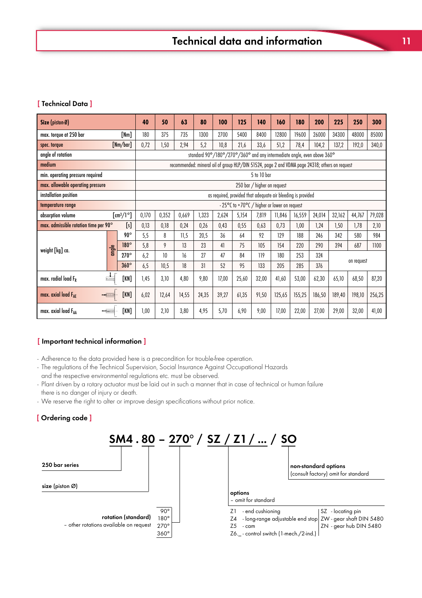## [ Technical Data ]

| Size (piston- $\emptyset$ )           |       |                                           | 40    | 50    | 63    | 80    | 100                                                          | 125   | 140                                          | 160    | 180    | 200                                                                                            | 225    | 250        | 300    |
|---------------------------------------|-------|-------------------------------------------|-------|-------|-------|-------|--------------------------------------------------------------|-------|----------------------------------------------|--------|--------|------------------------------------------------------------------------------------------------|--------|------------|--------|
| max. torque at 250 bar                |       | [Nm]                                      | 180   | 375   | 735   | 1300  | 2700                                                         | 5400  | 8400                                         | 12800  | 19600  | 26000                                                                                          | 34300  | 48000      | 85000  |
| spec. torque                          |       | [Nm/bar]                                  | 0,72  | 1,50  | 2,94  | 5,2   | 10,8                                                         | 21,6  | 33,6                                         | 51,2   | 78,4   | 104,2                                                                                          | 137,2  | 192,0      | 340,0  |
| angle of rotation                     |       |                                           |       |       |       |       |                                                              |       |                                              |        |        | standard 90°/180°/270°/360° and any intermediate angle, even above 360°                        |        |            |        |
| medium                                |       |                                           |       |       |       |       |                                                              |       |                                              |        |        | recommended: mineral oil of group HLP/DIN 51524, page 2 and VDMA page 24318; others on request |        |            |        |
| min. operating pressure required      |       |                                           |       |       |       |       |                                                              |       | 5 to 10 bar                                  |        |        |                                                                                                |        |            |        |
| max. allowable operating pressure     |       |                                           |       |       |       |       |                                                              |       | 250 bar / higher on request                  |        |        |                                                                                                |        |            |        |
| installation position                 |       |                                           |       |       |       |       | as required, provided that adequate air bleeding is provided |       |                                              |        |        |                                                                                                |        |            |        |
| temperature range                     |       |                                           |       |       |       |       |                                                              |       | - 25°C to +70°C / higher or lower on request |        |        |                                                                                                |        |            |        |
| absorption volume                     |       | $\left[\text{cm}^3/\text{1}^\circ\right]$ | 0,170 | 0,352 | 0,669 | 1,323 | 2,624                                                        | 5,154 | 7,819                                        | 11,846 | 16,559 | 24,014                                                                                         | 32,162 | 44,767     | 79,028 |
| max. admissible rotation time per 90° |       | [s]                                       | 0,13  | 0,18  | 0,24  | 0,26  | 0,43                                                         | 0,55  | 0,63                                         | 0,73   | 1,00   | 1,24                                                                                           | 1,50   | 1,78       | 2,10   |
|                                       |       | $90^\circ$                                | 5,5   | 8     | 11,5  | 20,5  | 36                                                           | 64    | 92                                           | 129    | 188    | 246                                                                                            | 342    | 580        | 984    |
| weight [kg] ca.                       | angle | 180°                                      | 5,8   | 9     | 13    | 23    | 41                                                           | 75    | 105                                          | 154    | 220    | 290                                                                                            | 394    | 687        | 1100   |
|                                       |       | $270^\circ$                               | 6,2   | 10    | 16    | 27    | 47                                                           | 84    | 119                                          | 180    | 253    | 324                                                                                            |        | on request |        |
|                                       |       | $360^\circ$                               | 6,5   | 10,5  | 18    | 31    | 52                                                           | 95    | 133                                          | 205    | 285    | 376                                                                                            |        |            |        |
| max. radial load $F_R$                |       | [KN]                                      | 1,45  | 3,10  | 4,80  | 9,80  | 17,00                                                        | 25,60 | 32,00                                        | 41,60  | 53,00  | 62,30                                                                                          | 65,10  | 68,50      | 87,20  |
| max. axial load $F_{AF}$              | [KN]  | 6,02                                      | 12,64 | 14,55 | 24,35 | 39,27 | 61,35                                                        | 91,50 | 125,65                                       | 155,25 | 186,50 | 189,40                                                                                         | 198,10 | 256,25     |        |
| max. axial load FAA                   |       | [KN]                                      | 1,00  | 2,10  | 3,80  | 4,95  | 5,70                                                         | 6,90  | 9,00                                         | 17,00  | 22,00  | 27,00                                                                                          | 29,00  | 32,00      | 41,00  |

## [ Important technical information ]

- Adherence to the data provided here is a precondition for trouble-free operation.

- The regulations of the Technical Supervision, Social Insurance Against Occupational Hazards and the respective environmental regulations etc. must be observed.
- Plant driven by a rotary actuator must be laid out in such a manner that in case of technical or human failure there is no danger of injury or death.
- We reserve the right to alter or improve design specifications without prior notice.

## [ Ordering code ]

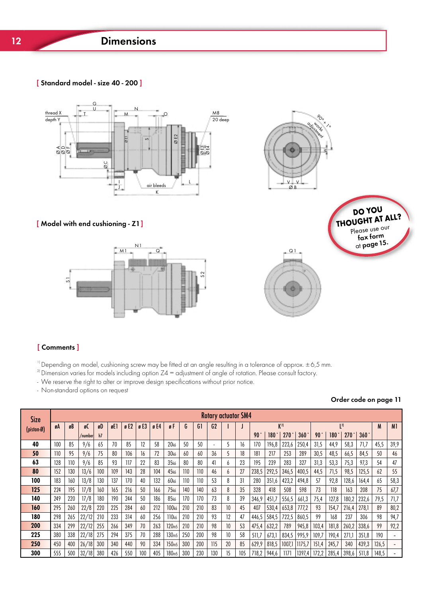# 12 Dimensions

[ Standard model - size 40 - 200 ]



## [ Model with end cushioning - Z1]





Schwenkmotor PSM



# Q1

## [ Comments ]

 $1$ <sup>1)</sup> Depending on model, cushioning screw may be fitted at an angle resulting in a tolerance of approx.  $\pm$  6,5 mm.

 $^{21}$ Dimension varies for models including option Z4 = adjustment of angle of rotation. Please consult factory.

- We reserve the right to alter or improve design specifications without prior notice.

- Non-standard options on request

## Order code on page 11

| <b>Size</b> |     |     |          |     |     |     |     |     |                   |     |                | <b>Rotary actuator SM4</b> |                 |     |                 |       |                  |             |                 |       |             |       |       |                |
|-------------|-----|-----|----------|-----|-----|-----|-----|-----|-------------------|-----|----------------|----------------------------|-----------------|-----|-----------------|-------|------------------|-------------|-----------------|-------|-------------|-------|-------|----------------|
| (piston-Ø)  | øA  | øB  | øC       | øD  | øE1 | gE2 | gE3 | gE4 | øF                | G   | G <sub>1</sub> | G <sub>2</sub>             |                 |     |                 |       | $K^{2}$          |             |                 |       | 2           |       | M     | M <sub>1</sub> |
|             |     |     | /numberl | h7  |     |     |     |     |                   |     |                |                            |                 |     | 90 <sup>o</sup> | 180   | 270 <sup>1</sup> | $360^\circ$ | 90 <sup>°</sup> | 180   | $270^\circ$ | 360°  |       |                |
| 40          | 100 | 85  | 9/6      | 65  | 70  | 85  | 12  | 58  | 20 <sub>k6</sub>  | 50  | 50             | $\sim$                     |                 | 16  | 170             | 196,8 | 223,6            | 250,4       | 31,5            | 44,9  | 58,3        | 71,7  | 45,5  | 39,9           |
| 50          | 110 | 95  | 9/6      | 75  | 80  | 106 | 16  | 72  | 30 <sub>k6</sub>  | 60  | 60             | 36                         |                 | 18  | 181             | 217   | 253              | 289         | 30,5            | 48,5  | 66,5        | 84,5  | 50    | 46             |
| 63          | 128 | 110 | 9/6      | 85  | 93  | 117 | 22  | 83  | 35k6              | 80  | 80             | 41                         | 6               | 23  | 195             | 239   | 283              | 327         | 31,3            | 53,3  | 75,3        | 97,3  | 54    | 47             |
| 80          | 152 | 130 | 13/6     | 100 | 109 | 143 | 28  | 104 | 45 <sub>k6</sub>  | 110 | 110            | 46                         | b               | 27  | 238,5           | 292,5 | 346,5            | 400,5       | 44,5            | 71,5  | 98,5        | 125,5 | 62    | 55             |
| 100         | 183 | 160 | 13/8     | 130 | 137 | 170 | 40  | 132 | 60k6              | 110 | 110            | 53                         | 8               | 31  | 280             | 351,6 | 423,2            | 494,8       | 57              | 92,8  | 128,6       | 164,4 | 65    | 58,3           |
| 125         | 224 | 195 | 17/8     | 160 | 165 | 216 | 50  | 166 | 75k6              | 140 | 140            | 63                         | 8               | 35  | 328             | 418   | 508              | 598         | 73              | 118   | 163         | 208   | 75    | 67,7           |
| 140         | 249 | 220 | 17/8     | 180 | 190 | 244 | 50  | 186 | 85k6              | 170 | 170            | 73                         | 8               | 39  | 346,9           | 451,7 | 556,5            | 661,3       | 75,4            | 127,8 | 180,2       | 232,6 | 79,5  | 71,7           |
| 160         | 295 | 260 | 22/8     | 220 | 225 | 284 | 60  | 212 | 100 <sub>k6</sub> | 210 | 210            | 83                         | 10 <sup>°</sup> | 45  | 407             | 530,4 | 653,8            | 777,2       | 93              | 154,7 | 216,4       | 278,1 | 89    | 80,2           |
| 180         | 298 | 265 | 22/12    | 210 | 233 | 314 | 60  | 256 | 110 <sub>k6</sub> | 210 | 210            | 93                         |                 | 47  | 446,5           | 584,5 | 722,5            | 860,5       | 99              | 168   | 237         | 306   | 98    | 94,7           |
| 200         | 334 | 299 | 22/12    | 255 | 266 | 349 | 70  | 263 | 120 <sub>m5</sub> | 210 | 210            | 98                         | 10              | 53  | 475,4           | 632,2 | 789              | 945,8       | 103,4           | 181,8 | 260,2       | 338,6 | 99    | 92,2           |
| 225         | 380 | 338 | 22/18    | 275 | 294 | 375 | 70  | 288 | 130m5             | 250 | 200            | 98                         | 10              | 58  | 511,7           | 673,1 | 834,5            | 995,9       | 109,7           | 190,4 | 271,1       | 351,8 | 190   |                |
| 250         | 450 | 400 | 26/18    | 300 | 340 | 440 | 90  | 334 | 150 <sub>m5</sub> | 300 | 200            | 115                        | 20              | 85  | 629,9           | 818,5 | 1007,1           | 1175,7      | 151,4           | 245,7 | 340         | 439,3 | 126,5 |                |
| 300         | 555 | 500 | 32/18    | 380 | 426 | 550 | 100 | 405 | 180 <sub>m5</sub> | 300 | 230            | 130                        |                 | 105 | 718,2           | 944,6 | 1171             | 1397,4      | 172.2           | 285,4 | 398,6       | 511.8 | 148,5 |                |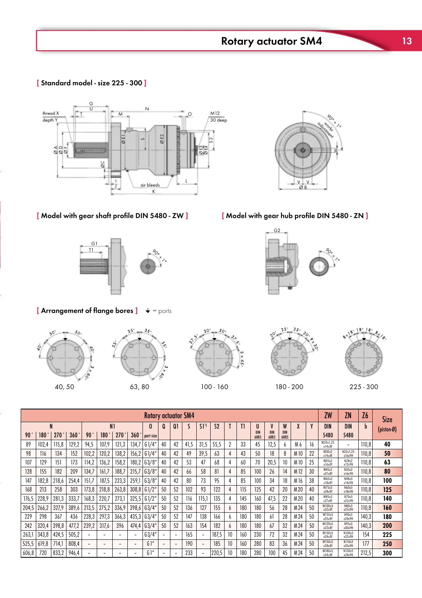[ Standard model - size 225 - 300 ]

Schweizer PSM (1985)



 $\mathcal{L}$  model with gear shaft profile DIN 5480  $\mathcal{L}$ 



 $3<sup>5</sup>$ 

[ Arrangement of flange bores ]  $\;\;\;\;\;\;\;\;\;\;=\,$  ports









 $18<sup>°</sup>$ with football for base

|       |       |          |       |                          |                          |                          |                          | <b>Rotary actuator SM4</b> |                          |                          |      |                   |                |              |     |                 |                 |                 |                 |    | ZW                     | ZN                       | Z6    | Size       |
|-------|-------|----------|-------|--------------------------|--------------------------|--------------------------|--------------------------|----------------------------|--------------------------|--------------------------|------|-------------------|----------------|--------------|-----|-----------------|-----------------|-----------------|-----------------|----|------------------------|--------------------------|-------|------------|
| 90    | 180   | N<br>270 | 360   | 90                       | N <sub>1</sub><br>180    | 270                      | 360                      | 0<br>port size             | O                        | Ql                       |      | $S1$ <sup>1</sup> | S <sub>2</sub> |              |     | U<br><b>DIN</b> | V<br><b>DIN</b> | W<br><b>DIN</b> | ۸               | γ  | <b>DIN</b><br>5480     | <b>DIN</b><br>5480       | b     | (piston-Ø) |
| 89    | 102,4 | 115,8    | 129,2 | 94,5                     | 107,9                    | 121,3                    | 134,7                    | 61/4                       | 40                       | 42                       | 41,5 | 31,5              | 55,5           |              | 33  | 6885<br>45      | 6885<br>12,5    | 6885            | M6              | 16 | W20x1,25<br>x14x8f     | $\overline{\phantom{0}}$ | 110,8 | 40         |
| 98    | 116   | 134      | 152   | 102,2                    | 120,2                    | 138,2                    | 156,2                    | G1/4                       | 40                       | 42                       | 49   | 39,5              | 63             |              | 43  | 50              | 18              |                 | M <sub>10</sub> | 22 | W30x2<br>$x$ 14 $x$ 8f | N22x1,25<br>x16x9H       | 110,8 | 50         |
| 107   | 129   | 151      | 173   | 114,2                    | 136,2                    | 158,2                    | 180,2                    | 63/8''                     | 40                       | 42                       | 53   | 47                | 68             | 4            | 60  | 70              | 20,5            | 10              | M <sub>10</sub> | 25 | W35x2<br>x16x8f        | N28x2<br>x12x9H          | 110,8 | 63         |
| 128   | 155   | 182      | 209   | 134,7                    | 161,7                    | 188,7                    | 215,7                    | G3/8''                     | 40                       | 42                       | 66   | 58                | 81             |              | 85  | 100             | 26              | 14              | M <sub>12</sub> | 30 | W45x2<br>x21x8f        | N35x2<br>x16x9H          | 110,8 | 80         |
| 147   | 182,8 | 218,6    | 254,4 | 151.:                    | 187,5                    | 223,3                    | 259,1                    | 63/8''                     | 40                       | 42                       | 80   | 73                | 95             | 4            | 85  | 100             | 34              | 18              | M 16            | 38 | W60x3<br>x18x8f        | N48x3<br>x14x9H          | 110,8 | 100        |
| 168   | 213   | 258      | 303   | 173,8                    | 218,8                    | 263,8                    | 308,8                    | G1/2"                      | 50                       | 52                       | 102  | 93                | 122            |              | 115 | 125             | 42              | 20              | M <sub>20</sub> | 40 | W75x3<br>x24x8f        | N60x3<br>x18x9H          | 110,8 | 125        |
| 176,5 | 228,9 | 281,3    | 333,7 | 168,3                    | 220,7                    | 273,1                    | 325,5                    | G1/2"                      | 50                       | 52                       | 116  | 115.7             | 135            | 4            | 145 | 160             | 47,5            | 22              | M <sub>20</sub> | 40 | W85x3<br>x27x8f        | N70x3<br>x22x9H          | 110,8 | 140        |
| 204,5 | 266,2 | 327,9    | 389,6 | 213,5                    | 275,2                    | 336,9                    | 398,6                    | 63/4''                     | 50                       | 52                       | 136  | 127               | 155            | 6            | 180 | 180             | 56              | 28              | M 24            | 50 | W100x3<br>x32x8f       | N80x3<br>x25x9H          | 110,8 | 160        |
| 229   | 298   | 367      | 436   | 228,3                    | 297,3                    | 366,3                    | 435,3                    | 63/4''                     | 50                       | 52                       | 147  | 138               | 166            | <sub>6</sub> | 180 | 180             | 61              | 28              | M 24            | 50 | W110x3<br>x35x8f       | N90x3<br>x28x9H          | 140,3 | 180        |
| 242   | 320,4 | 398,8    | 477,2 | 239,2                    | 317,6                    | 396                      | 474,4                    | 63/4''                     | 50                       | 52                       | 163  | 154               | 182            | <sub>0</sub> | 180 | 180             | 67              | 32              | M 24            | 50 | W120x5<br>x22x8f       | N95x3<br>x30x9H          | 140,3 | 200        |
| 263,1 | 343,8 | 424,5    | 505,2 | -                        | $\overline{\phantom{0}}$ | $\overline{\phantom{a}}$ | $\overline{\phantom{a}}$ | 63/4''                     | $\overline{\phantom{0}}$ | $\sim$                   | 165  |                   | 187,5          | 10           | 160 | 230             | 72              | 32              | M 24            | 50 | W130x5<br>x24x8f       | N100x3<br>x32x9H         | 154   | 225        |
| 525,5 | 619,8 | 714,     | 808,4 | $\overline{\phantom{a}}$ | $\overline{\phantom{0}}$ | $\overline{\phantom{0}}$ | ٠                        | G1''                       | $\overline{\phantom{a}}$ | $\overline{\phantom{a}}$ | 190  |                   | 185            | 10           | 160 | 280             | 83              | 36              | M 24            | 50 | W150x5<br>x28x8f       | N110x3<br>x35x9H         | 177   | 250        |
| 606,8 | 720   | 833,2    | 946,4 | ۰                        | $\overline{\phantom{0}}$ | ۰                        | $\overline{\phantom{a}}$ | G1''                       | ۰                        | $\overline{\phantom{a}}$ | 233  |                   | 220,5          | 10           | 180 | 280             | 100             | 45              | M 24            | 50 | W180x5<br>x34x8f       | N130x5<br>x24x9H         | 212,5 | 300        |



[Model with gear hub profile DIN 5480 - ZN]

G2

agraduated angular adjustment, e.g. from 0° to 90°

 $^{\circ\circ}$  $\check{\mathcal{L}}$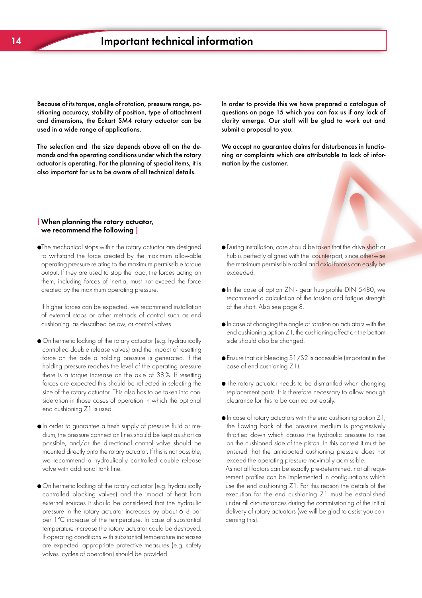sitioning accuracy, stability of position, type of attachment and dimensions, the Eckart SM4 rotary actuator can be used in a wide range of applications. Because of its torque, angle of rotation, pressure range, po-

The selection and the size depends above all on the demands and the operating conditions under which the rotary actuator is operating. For the planning of special items, it is also important for us to be aware of all technical details.

questions on page 15 which you can fax us if any lack of clarity emerge. Our staff will be glad to work out and submit a proposal to you. In order to provide this we have prepared a catalogue of

We accept no guarantee claims for disturbances in functioning or complaints which are attributable to lack of information by the customer.

#### $\sqrt{\ }$  When planning the rotary actuator, **EXTER Planning the Forary actuator,**<br>EXTERN the following 1 we recommend the following  $\frac{1}{2}$

opportunity procession channing to the maximum portmession enqueled output. If they are used to stop the load, the forces acting on them, including forces of inertia, must not exceed the force created by the maximum operating pressure. ●The mechanical stops within the rotary actuator are designed to withstand the force created by the maximum allowable operating pressure relating to the maximum permissible torque

If higher forces can be expected, we recommend installation of external stops or other methods of control such as end cushioning, as described below, or control valves.

- $\bullet$  On hermetic locking of the rotary actuator (e.g. hydraulically - perfectly suited to withstand even extreme force on the axle a holding pressure is generated. If the holding pressure reaches the level of the operating pressure requirements there is a torque increase on the axle of 38 %. If resetting end cushioning Z1 is used. controlled double release valves) and the impact of resetting forces are expected this should be reflected in selecting the size of the rotary actuator. This also has to be taken into consideration in those cases of operation in which the optional
- $\bullet$  In order to guarantee a fresh supply of pressure fluid or memented to generate thrown regard to the environmental to the environment of the environment of the environment - suitable for most fluids possible, and/or the directional control valve should be mounted directly onto the rotary actuator. If this is not possible, we recommend a hydraulically controlled double release valve with additional tank line.
- On hermetic locking of the rotary actuator (e.g. hydraulically controlled blocking valves) and the impact of heat from external sources it should be considered that the hydraulic pressure in the rotary actuator increases by about 6-8 bar per 1°C increase of the temperature. In case of substantial temperature increase the rotary actuator could be destroyed. If operating conditions with substantial temperature increases are expected, appropriate protective measures (e.g. safety valves, cycles of operation) should be provided.
- During installation, care should be taken that the drive shaft or hub is perfectly aligned with the counterpart, since otherwise the maximum permissible radial and axial forces can easily be exceeded.
- In the case of option ZN gear hub profile DIN 5480, we recommend a calculation of the torsion and fatigue strength of the shaft. Also see page 8.
- In case of changing the angle of rotation on actuators with the end cushioning option Z1, the cushioning effect on the bottom side should also be changed.
- Ensure that air bleeding S1/S2 is accessible (important in the case of end cushioning Z1).
- The rotary actuator needs to be dismantled when changing replacement parts. It is therefore necessary to allow enough clearance for this to be carried out easily.
- In case of rotary actuators with the end cushioning option Z1, the flowing back of the pressure medium is progressively throttled down which causes the hydraulic pressure to rise on the cushioned side of the piston. In this context it must be ensured that the anticipated cushioning pressure does not exceed the operating pressure maximally admissible. As not all factors can be exactly pre-determined, not all requi-

under all circumstances during the commissioning of the initial<br>under a factory of the initial live will be also the assistances of cerning this).  $\sigma$  is the period nitriding nitriding nitriding nitriding nitriding nitriding  $\sigma$ rement profiles can be implemented in configurations which use the end cushioning Z1. For this reason the details of the execution for the end cushioning Z1 must be established delivery of rotary actuators (we will be glad to assist you con-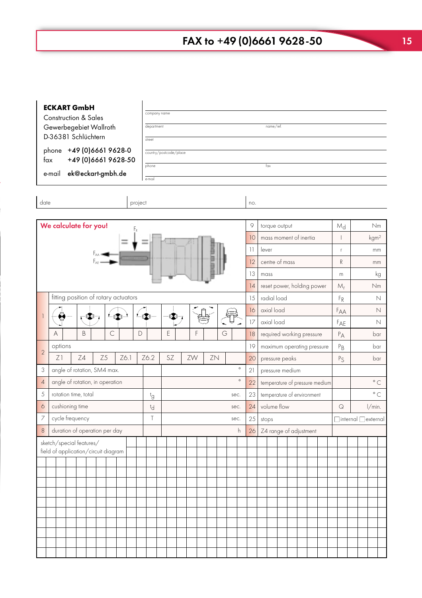| <b>ECKART GmbH</b><br>company name<br><b>Construction &amp; Sales</b><br>Gewerbegebiet Wallroth<br>department<br>D-36381 Schlüchtern<br>street<br>phone +49 (0) 6661 9628-0<br>country/postcode/place<br>+49 (0) 6661 9628-50<br>fax<br>phone<br>ek@eckart-gmbh.de<br>e-mail<br>e-mail<br>date<br>project |                                      |         |                                                                |    |              |    |             |                      |  |            |             |                         | name/ref.<br>$f_{\rm OX}$ |       |    |    |                            |                |      |          |            |                                                   |                                              |       |       |             |    |    |           |                              |                                 |             |                  |  |
|-----------------------------------------------------------------------------------------------------------------------------------------------------------------------------------------------------------------------------------------------------------------------------------------------------------|--------------------------------------|---------|----------------------------------------------------------------|----|--------------|----|-------------|----------------------|--|------------|-------------|-------------------------|---------------------------|-------|----|----|----------------------------|----------------|------|----------|------------|---------------------------------------------------|----------------------------------------------|-------|-------|-------------|----|----|-----------|------------------------------|---------------------------------|-------------|------------------|--|
|                                                                                                                                                                                                                                                                                                           |                                      |         |                                                                |    |              |    |             |                      |  |            |             |                         |                           |       |    |    |                            |                |      |          | no.        |                                                   |                                              |       |       |             |    |    |           |                              |                                 |             |                  |  |
|                                                                                                                                                                                                                                                                                                           |                                      |         | We calculate for you!                                          |    |              |    |             |                      |  | F,         |             |                         |                           |       |    |    |                            |                |      |          | 9          |                                                   | torque output                                |       |       |             |    |    |           | $M_d$                        |                                 |             | Nm               |  |
|                                                                                                                                                                                                                                                                                                           |                                      |         |                                                                |    |              |    |             | $\equiv$             |  |            |             |                         |                           |       |    |    |                            |                |      |          | 10         |                                                   | mass moment of inertia                       |       |       |             |    |    |           |                              |                                 |             | kgm <sup>2</sup> |  |
| $F_{AA} =$<br>$F_{AF}$                                                                                                                                                                                                                                                                                    |                                      |         |                                                                |    |              |    |             |                      |  |            |             | $\overline{\mathbf{1}}$ |                           | lever |    |    |                            |                |      |          | $\Gamma$   |                                                   |                                              | mm    |       |             |    |    |           |                              |                                 |             |                  |  |
|                                                                                                                                                                                                                                                                                                           |                                      |         |                                                                |    |              |    |             |                      |  |            |             |                         |                           |       |    | 12 |                            | centre of mass |      |          |            |                                                   |                                              |       | R     |             |    | mm |           |                              |                                 |             |                  |  |
|                                                                                                                                                                                                                                                                                                           |                                      |         |                                                                |    |              |    |             |                      |  |            |             |                         | 13                        | mass  |    |    |                            |                |      |          |            | m                                                 |                                              |       |       | kg          |    |    |           |                              |                                 |             |                  |  |
|                                                                                                                                                                                                                                                                                                           |                                      |         |                                                                |    |              |    |             |                      |  |            |             |                         |                           |       |    | 14 | reset power, holding power |                |      |          |            |                                                   |                                              |       | $M_r$ |             | Nm |    |           |                              |                                 |             |                  |  |
|                                                                                                                                                                                                                                                                                                           | fitting position of rotary actuators |         |                                                                |    |              |    |             |                      |  |            |             |                         |                           |       | 15 |    | radial load                |                |      |          |            |                                                   |                                              | $F_R$ |       | $\mathbb N$ |    |    |           |                              |                                 |             |                  |  |
|                                                                                                                                                                                                                                                                                                           |                                      | ❸       |                                                                |    | $\mathbb{C}$ |    |             | $-\left(\sum\right)$ |  | $L(\cdot)$ |             |                         |                           |       |    |    |                            |                |      |          | 16         |                                                   | axial load                                   |       |       |             |    |    |           | FAA                          |                                 | $\mathbb N$ |                  |  |
|                                                                                                                                                                                                                                                                                                           |                                      |         |                                                                |    |              |    |             |                      |  |            |             |                         |                           |       |    |    |                            |                |      | 17<br>18 | axial load |                                                   |                                              |       |       |             |    |    | $F_{AE}$  |                              | N                               |             |                  |  |
|                                                                                                                                                                                                                                                                                                           | Α                                    |         |                                                                | B  |              |    | $\mathsf C$ |                      |  | D          | Ε<br>F<br>G |                         |                           |       |    |    |                            |                |      |          |            |                                                   | required working pressure<br>$P_A$           |       |       |             |    |    |           |                              | bar                             |             |                  |  |
| $\overline{2}$                                                                                                                                                                                                                                                                                            |                                      | options |                                                                |    |              |    |             |                      |  |            |             |                         |                           |       |    |    |                            |                |      |          | 19         |                                                   | maximum operating pressure<br>$P_{B}$<br>bar |       |       |             |    |    |           |                              |                                 |             |                  |  |
|                                                                                                                                                                                                                                                                                                           |                                      | Z1      |                                                                | Z4 |              | Z5 |             | Z6.1                 |  |            | Z6.2        |                         | SZ                        |       | ZW |    | ZN                         |                |      | $\circ$  | 20         |                                                   | pressure peaks<br>$P_S$<br>bar               |       |       |             |    |    |           |                              |                                 |             |                  |  |
| 3<br>$\overline{4}$                                                                                                                                                                                                                                                                                       |                                      |         | angle of rotation, SM4 max.<br>angle of rotation, in operation |    |              |    |             |                      |  |            |             |                         |                           |       |    |    |                            |                |      | $\circ$  | 21<br>22   | pressure medium<br>temperature of pressure medium |                                              |       |       |             |    |    | $\circ$ C |                              |                                 |             |                  |  |
| 5                                                                                                                                                                                                                                                                                                         |                                      |         | rotation time, total                                           |    |              |    |             |                      |  |            |             |                         |                           |       |    |    |                            |                | sec. |          | 23         |                                                   | temperature of environment                   |       |       |             |    |    |           |                              |                                 |             | $\circ$ C        |  |
| $\circ$                                                                                                                                                                                                                                                                                                   |                                      |         | cushioning time                                                |    |              |    |             |                      |  |            | tg<br>td    |                         |                           |       |    |    |                            |                | sec. |          | 24         |                                                   | volume flow                                  |       |       |             |    |    |           | $\hbox{\large $\mathsf{Q}$}$ |                                 |             | l/min.           |  |
| 7                                                                                                                                                                                                                                                                                                         |                                      |         | cycle frequency                                                |    |              |    |             |                      |  |            | Τ           |                         |                           |       |    |    |                            |                | sec. |          | 25         |                                                   | stops                                        |       |       |             |    |    |           |                              | $\Box$ internal $\Box$ external |             |                  |  |
| $\,8\,$                                                                                                                                                                                                                                                                                                   |                                      |         | duration of operation per day                                  |    |              |    |             |                      |  |            |             |                         |                           |       |    |    |                            |                |      | h        | 26         |                                                   | Z4 range of adjustment                       |       |       |             |    |    |           |                              |                                 |             |                  |  |
|                                                                                                                                                                                                                                                                                                           |                                      |         | sketch/special features/                                       |    |              |    |             |                      |  |            |             |                         |                           |       |    |    |                            |                |      |          |            |                                                   |                                              |       |       |             |    |    |           |                              |                                 |             |                  |  |
|                                                                                                                                                                                                                                                                                                           |                                      |         | field of application/circuit diagram                           |    |              |    |             |                      |  |            |             |                         |                           |       |    |    |                            |                |      |          |            |                                                   |                                              |       |       |             |    |    |           |                              |                                 |             |                  |  |
|                                                                                                                                                                                                                                                                                                           |                                      |         |                                                                |    |              |    |             |                      |  |            |             |                         |                           |       |    |    |                            |                |      |          |            |                                                   |                                              |       |       |             |    |    |           |                              |                                 |             |                  |  |
|                                                                                                                                                                                                                                                                                                           |                                      |         |                                                                |    |              |    |             |                      |  |            |             |                         |                           |       |    |    |                            |                |      |          |            |                                                   |                                              |       |       |             |    |    |           |                              |                                 |             |                  |  |
|                                                                                                                                                                                                                                                                                                           |                                      |         |                                                                |    |              |    |             |                      |  |            |             |                         |                           |       |    |    |                            |                |      |          |            |                                                   |                                              |       |       |             |    |    |           |                              |                                 |             |                  |  |
|                                                                                                                                                                                                                                                                                                           |                                      |         |                                                                |    |              |    |             |                      |  |            |             |                         |                           |       |    |    |                            |                |      |          |            |                                                   |                                              |       |       |             |    |    |           |                              |                                 |             |                  |  |
|                                                                                                                                                                                                                                                                                                           |                                      |         |                                                                |    |              |    |             |                      |  |            |             |                         |                           |       |    |    |                            |                |      |          |            |                                                   |                                              |       |       |             |    |    |           |                              |                                 |             |                  |  |
|                                                                                                                                                                                                                                                                                                           |                                      |         |                                                                |    |              |    |             |                      |  |            |             |                         |                           |       |    |    |                            |                |      |          |            |                                                   |                                              |       |       |             |    |    |           |                              |                                 |             |                  |  |
|                                                                                                                                                                                                                                                                                                           |                                      |         |                                                                |    |              |    |             |                      |  |            |             |                         |                           |       |    |    |                            |                |      |          |            |                                                   |                                              |       |       |             |    |    |           |                              |                                 |             |                  |  |
|                                                                                                                                                                                                                                                                                                           |                                      |         |                                                                |    |              |    |             |                      |  |            |             |                         |                           |       |    |    |                            |                |      |          |            |                                                   |                                              |       |       |             |    |    |           |                              |                                 |             |                  |  |